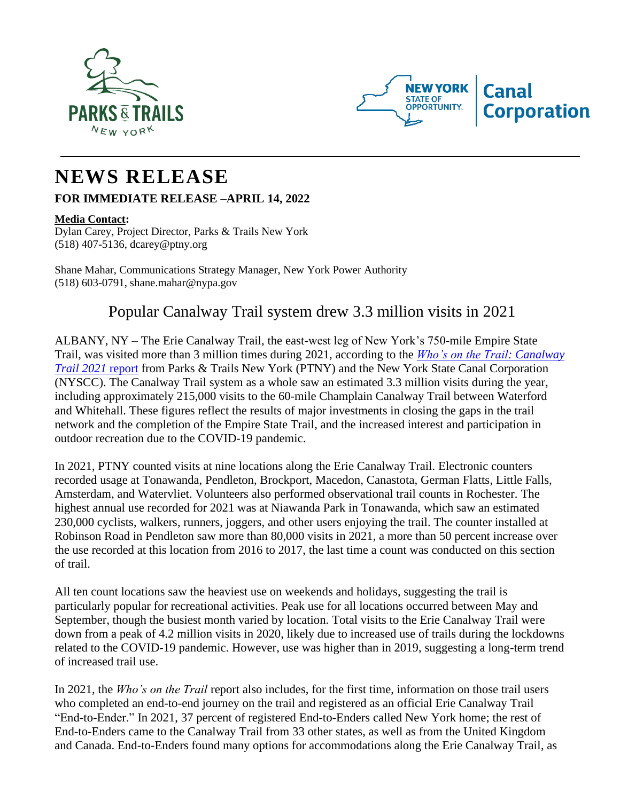



# **NEWS RELEASE**

### **FOR IMMEDIATE RELEASE –APRIL 14, 2022**

#### **Media Contact:**

Dylan Carey, Project Director, Parks & Trails New York (518) 407-5136, dcarey@ptny.org

Shane Mahar, Communications Strategy Manager, New York Power Authority (518) 603-0791, shane.mahar@nypa.gov

# Popular Canalway Trail system drew 3.3 million visits in 2021

ALBANY, NY – The Erie Canalway Trail, the east-west leg of New York's 750-mile Empire State Trail, was visited more than 3 million times during 2021, according to the *[Who's on the Trail: Canalway](http://www.ptny.org/trailcounts)  Trail 2021* [report](http://www.ptny.org/trailcounts) from Parks & Trails New York (PTNY) and the New York State Canal Corporation (NYSCC). The Canalway Trail system as a whole saw an estimated 3.3 million visits during the year, including approximately 215,000 visits to the 60-mile Champlain Canalway Trail between Waterford and Whitehall. These figures reflect the results of major investments in closing the gaps in the trail network and the completion of the Empire State Trail, and the increased interest and participation in outdoor recreation due to the COVID-19 pandemic.

In 2021, PTNY counted visits at nine locations along the Erie Canalway Trail. Electronic counters recorded usage at Tonawanda, Pendleton, Brockport, Macedon, Canastota, German Flatts, Little Falls, Amsterdam, and Watervliet. Volunteers also performed observational trail counts in Rochester. The highest annual use recorded for 2021 was at Niawanda Park in Tonawanda, which saw an estimated 230,000 cyclists, walkers, runners, joggers, and other users enjoying the trail. The counter installed at Robinson Road in Pendleton saw more than 80,000 visits in 2021, a more than 50 percent increase over the use recorded at this location from 2016 to 2017, the last time a count was conducted on this section of trail.

All ten count locations saw the heaviest use on weekends and holidays, suggesting the trail is particularly popular for recreational activities. Peak use for all locations occurred between May and September, though the busiest month varied by location. Total visits to the Erie Canalway Trail were down from a peak of 4.2 million visits in 2020, likely due to increased use of trails during the lockdowns related to the COVID-19 pandemic. However, use was higher than in 2019, suggesting a long-term trend of increased trail use.

In 2021, the *Who's on the Trail* report also includes, for the first time, information on those trail users who completed an end-to-end journey on the trail and registered as an official Erie Canalway Trail "End-to-Ender." In 2021, 37 percent of registered End-to-Enders called New York home; the rest of End-to-Enders came to the Canalway Trail from 33 other states, as well as from the United Kingdom and Canada. End-to-Enders found many options for accommodations along the Erie Canalway Trail, as